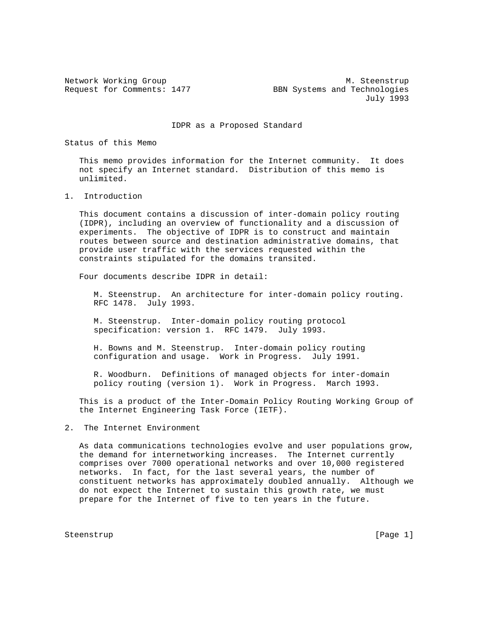Network Working Group Metwork More of the Music Metwork Music Music Music Music Music Music Music Music Music M Request for Comments: 1477 BBN Systems and Technologies July 1993

IDPR as a Proposed Standard

Status of this Memo

 This memo provides information for the Internet community. It does not specify an Internet standard. Distribution of this memo is unlimited.

## 1. Introduction

 This document contains a discussion of inter-domain policy routing (IDPR), including an overview of functionality and a discussion of experiments. The objective of IDPR is to construct and maintain routes between source and destination administrative domains, that provide user traffic with the services requested within the constraints stipulated for the domains transited.

Four documents describe IDPR in detail:

 M. Steenstrup. An architecture for inter-domain policy routing. RFC 1478. July 1993.

 M. Steenstrup. Inter-domain policy routing protocol specification: version 1. RFC 1479. July 1993.

 H. Bowns and M. Steenstrup. Inter-domain policy routing configuration and usage. Work in Progress. July 1991.

 R. Woodburn. Definitions of managed objects for inter-domain policy routing (version 1). Work in Progress. March 1993.

 This is a product of the Inter-Domain Policy Routing Working Group of the Internet Engineering Task Force (IETF).

## 2. The Internet Environment

 As data communications technologies evolve and user populations grow, the demand for internetworking increases. The Internet currently comprises over 7000 operational networks and over 10,000 registered networks. In fact, for the last several years, the number of constituent networks has approximately doubled annually. Although we do not expect the Internet to sustain this growth rate, we must prepare for the Internet of five to ten years in the future.

Steenstrup [Page 1]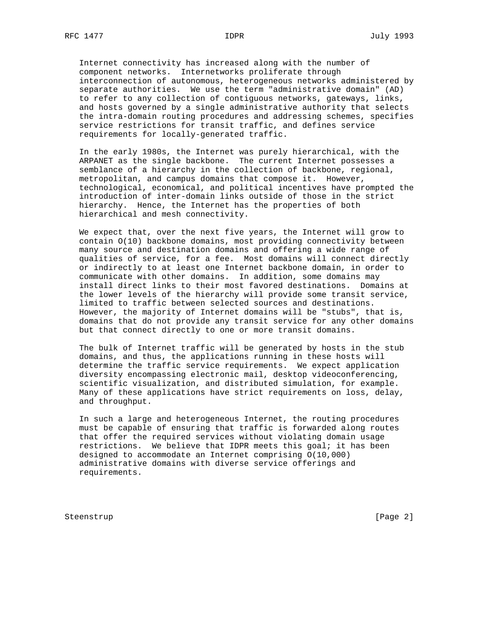Internet connectivity has increased along with the number of component networks. Internetworks proliferate through interconnection of autonomous, heterogeneous networks administered by separate authorities. We use the term "administrative domain" (AD) to refer to any collection of contiguous networks, gateways, links, and hosts governed by a single administrative authority that selects the intra-domain routing procedures and addressing schemes, specifies service restrictions for transit traffic, and defines service requirements for locally-generated traffic.

 In the early 1980s, the Internet was purely hierarchical, with the ARPANET as the single backbone. The current Internet possesses a semblance of a hierarchy in the collection of backbone, regional, metropolitan, and campus domains that compose it. However, technological, economical, and political incentives have prompted the introduction of inter-domain links outside of those in the strict hierarchy. Hence, the Internet has the properties of both hierarchical and mesh connectivity.

 We expect that, over the next five years, the Internet will grow to contain O(10) backbone domains, most providing connectivity between many source and destination domains and offering a wide range of qualities of service, for a fee. Most domains will connect directly or indirectly to at least one Internet backbone domain, in order to communicate with other domains. In addition, some domains may install direct links to their most favored destinations. Domains at the lower levels of the hierarchy will provide some transit service, limited to traffic between selected sources and destinations. However, the majority of Internet domains will be "stubs", that is, domains that do not provide any transit service for any other domains but that connect directly to one or more transit domains.

 The bulk of Internet traffic will be generated by hosts in the stub domains, and thus, the applications running in these hosts will determine the traffic service requirements. We expect application diversity encompassing electronic mail, desktop videoconferencing, scientific visualization, and distributed simulation, for example. Many of these applications have strict requirements on loss, delay, and throughput.

 In such a large and heterogeneous Internet, the routing procedures must be capable of ensuring that traffic is forwarded along routes that offer the required services without violating domain usage restrictions. We believe that IDPR meets this goal; it has been designed to accommodate an Internet comprising O(10,000) administrative domains with diverse service offerings and requirements.

Steenstrup [Page 2]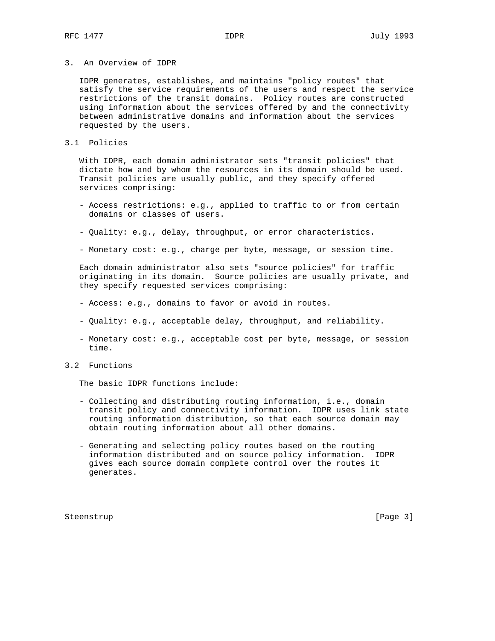3. An Overview of IDPR

 IDPR generates, establishes, and maintains "policy routes" that satisfy the service requirements of the users and respect the service restrictions of the transit domains. Policy routes are constructed using information about the services offered by and the connectivity between administrative domains and information about the services requested by the users.

#### 3.1 Policies

 With IDPR, each domain administrator sets "transit policies" that dictate how and by whom the resources in its domain should be used. Transit policies are usually public, and they specify offered services comprising:

- Access restrictions: e.g., applied to traffic to or from certain domains or classes of users.
- Quality: e.g., delay, throughput, or error characteristics.
- Monetary cost: e.g., charge per byte, message, or session time.

 Each domain administrator also sets "source policies" for traffic originating in its domain. Source policies are usually private, and they specify requested services comprising:

- Access: e.g., domains to favor or avoid in routes.
- Quality: e.g., acceptable delay, throughput, and reliability.
- Monetary cost: e.g., acceptable cost per byte, message, or session time.
- 3.2 Functions

The basic IDPR functions include:

- Collecting and distributing routing information, i.e., domain transit policy and connectivity information. IDPR uses link state routing information distribution, so that each source domain may obtain routing information about all other domains.
- Generating and selecting policy routes based on the routing information distributed and on source policy information. IDPR gives each source domain complete control over the routes it generates.

Steenstrup [Page 3]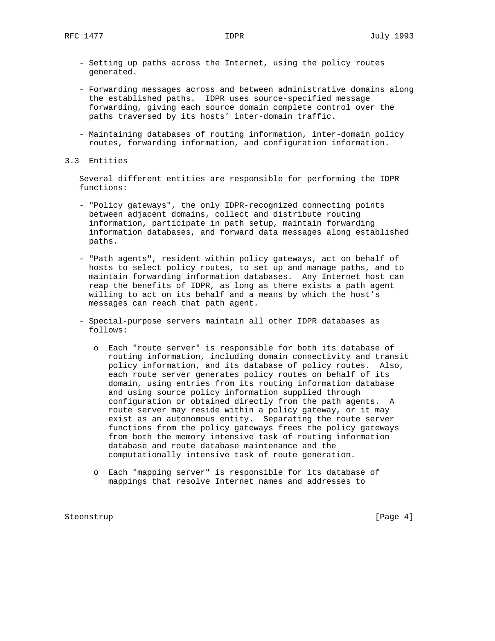- Setting up paths across the Internet, using the policy routes generated.
- Forwarding messages across and between administrative domains along the established paths. IDPR uses source-specified message forwarding, giving each source domain complete control over the paths traversed by its hosts' inter-domain traffic.
- Maintaining databases of routing information, inter-domain policy routes, forwarding information, and configuration information.
- 3.3 Entities

 Several different entities are responsible for performing the IDPR functions:

- "Policy gateways", the only IDPR-recognized connecting points between adjacent domains, collect and distribute routing information, participate in path setup, maintain forwarding information databases, and forward data messages along established paths.
- "Path agents", resident within policy gateways, act on behalf of hosts to select policy routes, to set up and manage paths, and to maintain forwarding information databases. Any Internet host can reap the benefits of IDPR, as long as there exists a path agent willing to act on its behalf and a means by which the host's messages can reach that path agent.
- Special-purpose servers maintain all other IDPR databases as follows:
	- o Each "route server" is responsible for both its database of routing information, including domain connectivity and transit policy information, and its database of policy routes. Also, each route server generates policy routes on behalf of its domain, using entries from its routing information database and using source policy information supplied through configuration or obtained directly from the path agents. A route server may reside within a policy gateway, or it may exist as an autonomous entity. Separating the route server functions from the policy gateways frees the policy gateways from both the memory intensive task of routing information database and route database maintenance and the computationally intensive task of route generation.
	- o Each "mapping server" is responsible for its database of mappings that resolve Internet names and addresses to

Steenstrup [Page 4]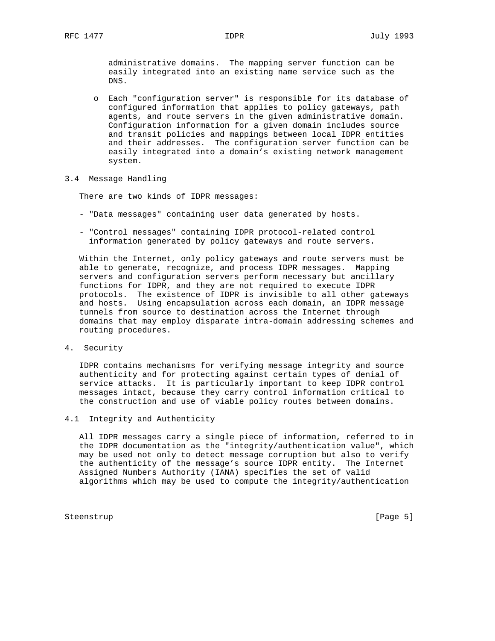administrative domains. The mapping server function can be easily integrated into an existing name service such as the DNS.

- o Each "configuration server" is responsible for its database of configured information that applies to policy gateways, path agents, and route servers in the given administrative domain. Configuration information for a given domain includes source and transit policies and mappings between local IDPR entities and their addresses. The configuration server function can be easily integrated into a domain's existing network management system.
- 3.4 Message Handling

There are two kinds of IDPR messages:

- "Data messages" containing user data generated by hosts.
- "Control messages" containing IDPR protocol-related control information generated by policy gateways and route servers.

 Within the Internet, only policy gateways and route servers must be able to generate, recognize, and process IDPR messages. Mapping servers and configuration servers perform necessary but ancillary functions for IDPR, and they are not required to execute IDPR protocols. The existence of IDPR is invisible to all other gateways and hosts. Using encapsulation across each domain, an IDPR message tunnels from source to destination across the Internet through domains that may employ disparate intra-domain addressing schemes and routing procedures.

4. Security

 IDPR contains mechanisms for verifying message integrity and source authenticity and for protecting against certain types of denial of service attacks. It is particularly important to keep IDPR control messages intact, because they carry control information critical to the construction and use of viable policy routes between domains.

4.1 Integrity and Authenticity

 All IDPR messages carry a single piece of information, referred to in the IDPR documentation as the "integrity/authentication value", which may be used not only to detect message corruption but also to verify the authenticity of the message's source IDPR entity. The Internet Assigned Numbers Authority (IANA) specifies the set of valid algorithms which may be used to compute the integrity/authentication

Steenstrup [Page 5]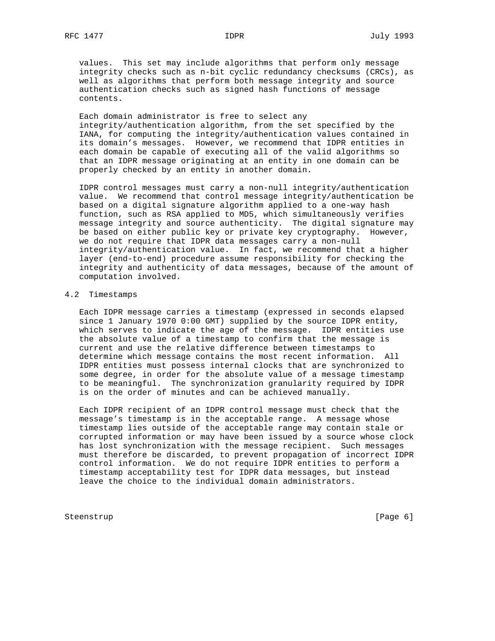values. This set may include algorithms that perform only message integrity checks such as n-bit cyclic redundancy checksums (CRCs), as well as algorithms that perform both message integrity and source authentication checks such as signed hash functions of message contents.

 Each domain administrator is free to select any integrity/authentication algorithm, from the set specified by the IANA, for computing the integrity/authentication values contained in its domain's messages. However, we recommend that IDPR entities in each domain be capable of executing all of the valid algorithms so that an IDPR message originating at an entity in one domain can be properly checked by an entity in another domain.

 IDPR control messages must carry a non-null integrity/authentication value. We recommend that control message integrity/authentication be based on a digital signature algorithm applied to a one-way hash function, such as RSA applied to MD5, which simultaneously verifies message integrity and source authenticity. The digital signature may be based on either public key or private key cryptography. However, we do not require that IDPR data messages carry a non-null integrity/authentication value. In fact, we recommend that a higher layer (end-to-end) procedure assume responsibility for checking the integrity and authenticity of data messages, because of the amount of computation involved.

#### 4.2 Timestamps

 Each IDPR message carries a timestamp (expressed in seconds elapsed since 1 January 1970 0:00 GMT) supplied by the source IDPR entity, which serves to indicate the age of the message. IDPR entities use the absolute value of a timestamp to confirm that the message is current and use the relative difference between timestamps to determine which message contains the most recent information. All IDPR entities must possess internal clocks that are synchronized to some degree, in order for the absolute value of a message timestamp to be meaningful. The synchronization granularity required by IDPR is on the order of minutes and can be achieved manually.

 Each IDPR recipient of an IDPR control message must check that the message's timestamp is in the acceptable range. A message whose timestamp lies outside of the acceptable range may contain stale or corrupted information or may have been issued by a source whose clock has lost synchronization with the message recipient. Such messages must therefore be discarded, to prevent propagation of incorrect IDPR control information. We do not require IDPR entities to perform a timestamp acceptability test for IDPR data messages, but instead leave the choice to the individual domain administrators.

Steenstrup [Page 6]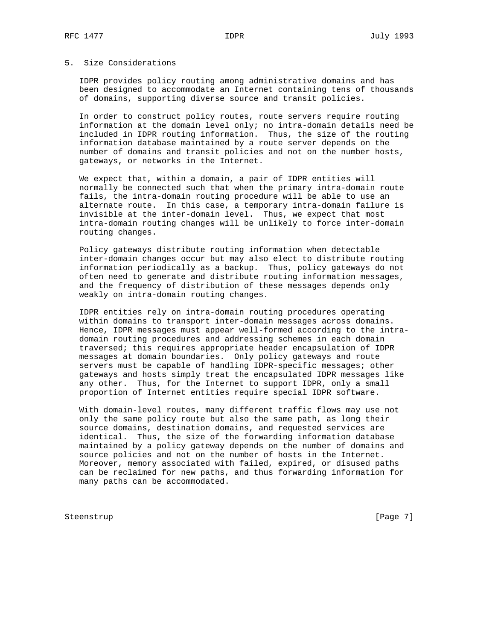# 5. Size Considerations

 IDPR provides policy routing among administrative domains and has been designed to accommodate an Internet containing tens of thousands of domains, supporting diverse source and transit policies.

 In order to construct policy routes, route servers require routing information at the domain level only; no intra-domain details need be included in IDPR routing information. Thus, the size of the routing information database maintained by a route server depends on the number of domains and transit policies and not on the number hosts, gateways, or networks in the Internet.

 We expect that, within a domain, a pair of IDPR entities will normally be connected such that when the primary intra-domain route fails, the intra-domain routing procedure will be able to use an alternate route. In this case, a temporary intra-domain failure is invisible at the inter-domain level. Thus, we expect that most intra-domain routing changes will be unlikely to force inter-domain routing changes.

 Policy gateways distribute routing information when detectable inter-domain changes occur but may also elect to distribute routing information periodically as a backup. Thus, policy gateways do not often need to generate and distribute routing information messages, and the frequency of distribution of these messages depends only weakly on intra-domain routing changes.

 IDPR entities rely on intra-domain routing procedures operating within domains to transport inter-domain messages across domains. Hence, IDPR messages must appear well-formed according to the intra domain routing procedures and addressing schemes in each domain traversed; this requires appropriate header encapsulation of IDPR messages at domain boundaries. Only policy gateways and route servers must be capable of handling IDPR-specific messages; other gateways and hosts simply treat the encapsulated IDPR messages like any other. Thus, for the Internet to support IDPR, only a small proportion of Internet entities require special IDPR software.

 With domain-level routes, many different traffic flows may use not only the same policy route but also the same path, as long their source domains, destination domains, and requested services are identical. Thus, the size of the forwarding information database maintained by a policy gateway depends on the number of domains and source policies and not on the number of hosts in the Internet. Moreover, memory associated with failed, expired, or disused paths can be reclaimed for new paths, and thus forwarding information for many paths can be accommodated.

Steenstrup [Page 7]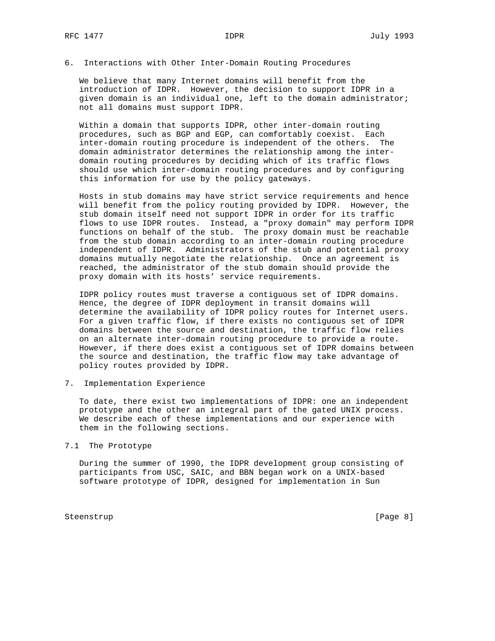## 6. Interactions with Other Inter-Domain Routing Procedures

 We believe that many Internet domains will benefit from the introduction of IDPR. However, the decision to support IDPR in a given domain is an individual one, left to the domain administrator; not all domains must support IDPR.

 Within a domain that supports IDPR, other inter-domain routing procedures, such as BGP and EGP, can comfortably coexist. Each inter-domain routing procedure is independent of the others. The domain administrator determines the relationship among the inter domain routing procedures by deciding which of its traffic flows should use which inter-domain routing procedures and by configuring this information for use by the policy gateways.

 Hosts in stub domains may have strict service requirements and hence will benefit from the policy routing provided by IDPR. However, the stub domain itself need not support IDPR in order for its traffic flows to use IDPR routes. Instead, a "proxy domain" may perform IDPR functions on behalf of the stub. The proxy domain must be reachable from the stub domain according to an inter-domain routing procedure independent of IDPR. Administrators of the stub and potential proxy domains mutually negotiate the relationship. Once an agreement is reached, the administrator of the stub domain should provide the proxy domain with its hosts' service requirements.

 IDPR policy routes must traverse a contiguous set of IDPR domains. Hence, the degree of IDPR deployment in transit domains will determine the availability of IDPR policy routes for Internet users. For a given traffic flow, if there exists no contiguous set of IDPR domains between the source and destination, the traffic flow relies on an alternate inter-domain routing procedure to provide a route. However, if there does exist a contiguous set of IDPR domains between the source and destination, the traffic flow may take advantage of policy routes provided by IDPR.

7. Implementation Experience

 To date, there exist two implementations of IDPR: one an independent prototype and the other an integral part of the gated UNIX process. We describe each of these implementations and our experience with them in the following sections.

7.1 The Prototype

 During the summer of 1990, the IDPR development group consisting of participants from USC, SAIC, and BBN began work on a UNIX-based software prototype of IDPR, designed for implementation in Sun

Steenstrup [Page 8]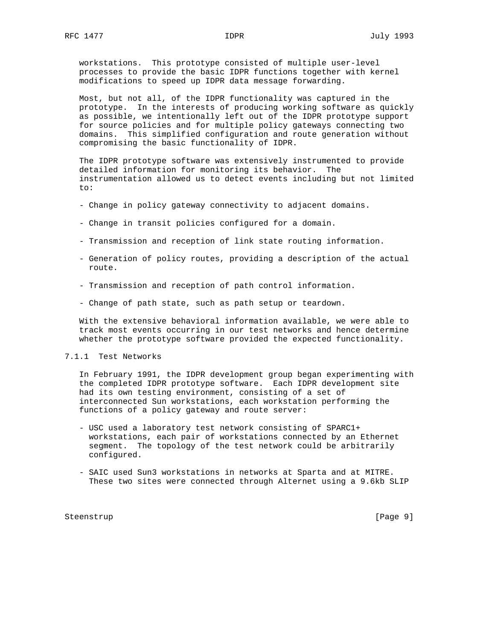workstations. This prototype consisted of multiple user-level processes to provide the basic IDPR functions together with kernel modifications to speed up IDPR data message forwarding.

 Most, but not all, of the IDPR functionality was captured in the prototype. In the interests of producing working software as quickly as possible, we intentionally left out of the IDPR prototype support for source policies and for multiple policy gateways connecting two domains. This simplified configuration and route generation without compromising the basic functionality of IDPR.

 The IDPR prototype software was extensively instrumented to provide detailed information for monitoring its behavior. The instrumentation allowed us to detect events including but not limited to:

- Change in policy gateway connectivity to adjacent domains.
- Change in transit policies configured for a domain.
- Transmission and reception of link state routing information.
- Generation of policy routes, providing a description of the actual route.
- Transmission and reception of path control information.
- Change of path state, such as path setup or teardown.

 With the extensive behavioral information available, we were able to track most events occurring in our test networks and hence determine whether the prototype software provided the expected functionality.

## 7.1.1 Test Networks

 In February 1991, the IDPR development group began experimenting with the completed IDPR prototype software. Each IDPR development site had its own testing environment, consisting of a set of interconnected Sun workstations, each workstation performing the functions of a policy gateway and route server:

- USC used a laboratory test network consisting of SPARC1+ workstations, each pair of workstations connected by an Ethernet segment. The topology of the test network could be arbitrarily configured.
- SAIC used Sun3 workstations in networks at Sparta and at MITRE. These two sites were connected through Alternet using a 9.6kb SLIP

Steenstrup [Page 9]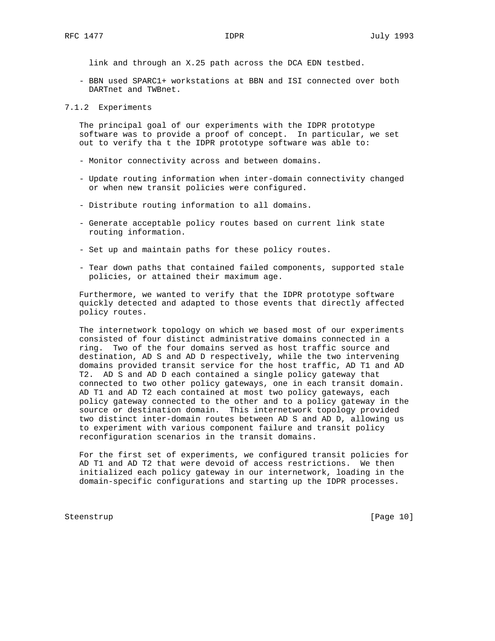link and through an X.25 path across the DCA EDN testbed.

 - BBN used SPARC1+ workstations at BBN and ISI connected over both DARTnet and TWBnet.

#### 7.1.2 Experiments

 The principal goal of our experiments with the IDPR prototype software was to provide a proof of concept. In particular, we set out to verify tha t the IDPR prototype software was able to:

- Monitor connectivity across and between domains.
- Update routing information when inter-domain connectivity changed or when new transit policies were configured.
- Distribute routing information to all domains.
- Generate acceptable policy routes based on current link state routing information.
- Set up and maintain paths for these policy routes.
- Tear down paths that contained failed components, supported stale policies, or attained their maximum age.

 Furthermore, we wanted to verify that the IDPR prototype software quickly detected and adapted to those events that directly affected policy routes.

 The internetwork topology on which we based most of our experiments consisted of four distinct administrative domains connected in a ring. Two of the four domains served as host traffic source and destination, AD S and AD D respectively, while the two intervening domains provided transit service for the host traffic, AD T1 and AD T2. AD S and AD D each contained a single policy gateway that connected to two other policy gateways, one in each transit domain. AD T1 and AD T2 each contained at most two policy gateways, each policy gateway connected to the other and to a policy gateway in the source or destination domain. This internetwork topology provided two distinct inter-domain routes between AD S and AD D, allowing us to experiment with various component failure and transit policy reconfiguration scenarios in the transit domains.

 For the first set of experiments, we configured transit policies for AD T1 and AD T2 that were devoid of access restrictions. We then initialized each policy gateway in our internetwork, loading in the domain-specific configurations and starting up the IDPR processes.

Steenstrup [Page 10]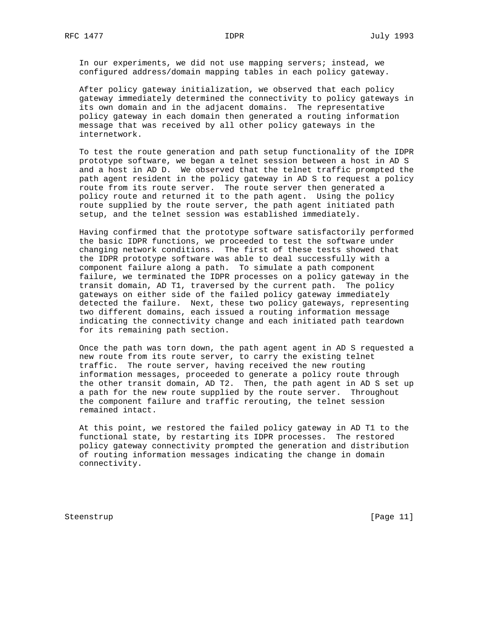In our experiments, we did not use mapping servers; instead, we configured address/domain mapping tables in each policy gateway.

 After policy gateway initialization, we observed that each policy gateway immediately determined the connectivity to policy gateways in its own domain and in the adjacent domains. The representative policy gateway in each domain then generated a routing information message that was received by all other policy gateways in the internetwork.

 To test the route generation and path setup functionality of the IDPR prototype software, we began a telnet session between a host in AD S and a host in AD D. We observed that the telnet traffic prompted the path agent resident in the policy gateway in AD S to request a policy route from its route server. The route server then generated a policy route and returned it to the path agent. Using the policy route supplied by the route server, the path agent initiated path setup, and the telnet session was established immediately.

 Having confirmed that the prototype software satisfactorily performed the basic IDPR functions, we proceeded to test the software under changing network conditions. The first of these tests showed that the IDPR prototype software was able to deal successfully with a component failure along a path. To simulate a path component failure, we terminated the IDPR processes on a policy gateway in the transit domain, AD T1, traversed by the current path. The policy gateways on either side of the failed policy gateway immediately detected the failure. Next, these two policy gateways, representing two different domains, each issued a routing information message indicating the connectivity change and each initiated path teardown for its remaining path section.

 Once the path was torn down, the path agent agent in AD S requested a new route from its route server, to carry the existing telnet traffic. The route server, having received the new routing information messages, proceeded to generate a policy route through the other transit domain, AD T2. Then, the path agent in AD S set up a path for the new route supplied by the route server. Throughout the component failure and traffic rerouting, the telnet session remained intact.

 At this point, we restored the failed policy gateway in AD T1 to the functional state, by restarting its IDPR processes. The restored policy gateway connectivity prompted the generation and distribution of routing information messages indicating the change in domain connectivity.

Steenstrup [Page 11]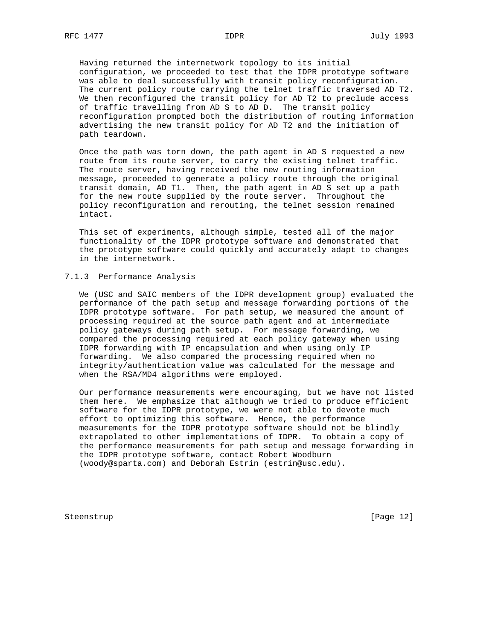Having returned the internetwork topology to its initial configuration, we proceeded to test that the IDPR prototype software was able to deal successfully with transit policy reconfiguration. The current policy route carrying the telnet traffic traversed AD T2. We then reconfigured the transit policy for AD T2 to preclude access of traffic travelling from AD S to AD D. The transit policy reconfiguration prompted both the distribution of routing information advertising the new transit policy for AD T2 and the initiation of path teardown.

 Once the path was torn down, the path agent in AD S requested a new route from its route server, to carry the existing telnet traffic. The route server, having received the new routing information message, proceeded to generate a policy route through the original transit domain, AD T1. Then, the path agent in AD S set up a path for the new route supplied by the route server. Throughout the policy reconfiguration and rerouting, the telnet session remained intact.

 This set of experiments, although simple, tested all of the major functionality of the IDPR prototype software and demonstrated that the prototype software could quickly and accurately adapt to changes in the internetwork.

## 7.1.3 Performance Analysis

 We (USC and SAIC members of the IDPR development group) evaluated the performance of the path setup and message forwarding portions of the IDPR prototype software. For path setup, we measured the amount of processing required at the source path agent and at intermediate policy gateways during path setup. For message forwarding, we compared the processing required at each policy gateway when using IDPR forwarding with IP encapsulation and when using only IP forwarding. We also compared the processing required when no integrity/authentication value was calculated for the message and when the RSA/MD4 algorithms were employed.

 Our performance measurements were encouraging, but we have not listed them here. We emphasize that although we tried to produce efficient software for the IDPR prototype, we were not able to devote much effort to optimizing this software. Hence, the performance measurements for the IDPR prototype software should not be blindly extrapolated to other implementations of IDPR. To obtain a copy of the performance measurements for path setup and message forwarding in the IDPR prototype software, contact Robert Woodburn (woody@sparta.com) and Deborah Estrin (estrin@usc.edu).

Steenstrup [Page 12]